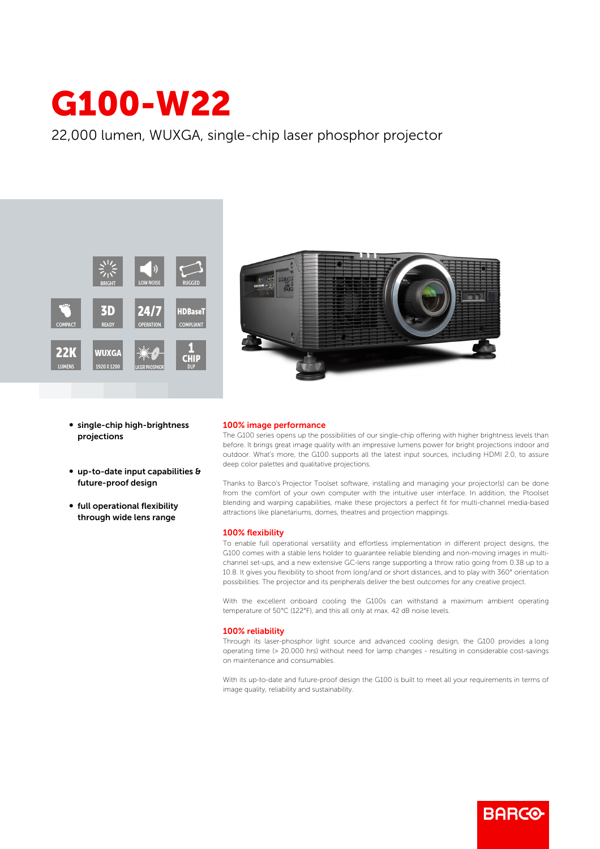# G100-W22

22,000 lumen, WUXGA, single-chip laser phosphor projector





- single-chip high-brightness projections
- $\bullet$  up-to-date input capabilities  $\theta$ future-proof design
- full operational flexibility through wide lens range

### 100% image performance

The G100 series opens up the possibilities of our single-chip offering with higher brightness levels than before. It brings great image quality with an impressive lumens power for bright projections indoor and outdoor. What's more, the G100 supports all the latest input sources, including HDMI 2.0, to assure deep color palettes and qualitative projections.

Thanks to Barco's Projector Toolset software, installing and managing your projector(s) can be done from the comfort of your own computer with the intuitive user interface. In addition, the Ptoolset blending and warping capabilities, make these projectors a perfect fit for multi-channel media-based attractions like planetariums, domes, theatres and projection mappings.

#### 100% flexibility

To enable full operational versatility and effortless implementation in different project designs, the G100 comes with a stable lens holder to guarantee reliable blending and non-moving images in multichannel set-ups, and a new extensive GC-lens range supporting a throw ratio going from 0.38 up to a 10.8. It gives you flexibility to shoot from long/and or short distances, and to play with 360° orientation possibilities. The projector and its peripherals deliver the best outcomes for any creative project.

With the excellent onboard cooling the G100s can withstand a maximum ambient operating temperature of 50°C (122°F), and this all only at max. 42 dB noise levels.

#### 100% reliability

Through its laser-phosphor light source and advanced cooling design, the G100 provides a long operating time (> 20.000 hrs) without need for lamp changes - resulting in considerable cost-savings on maintenance and consumables.

With its up-to-date and future-proof design the G100 is built to meet all your requirements in terms of image quality, reliability and sustainability.

**BARGO**